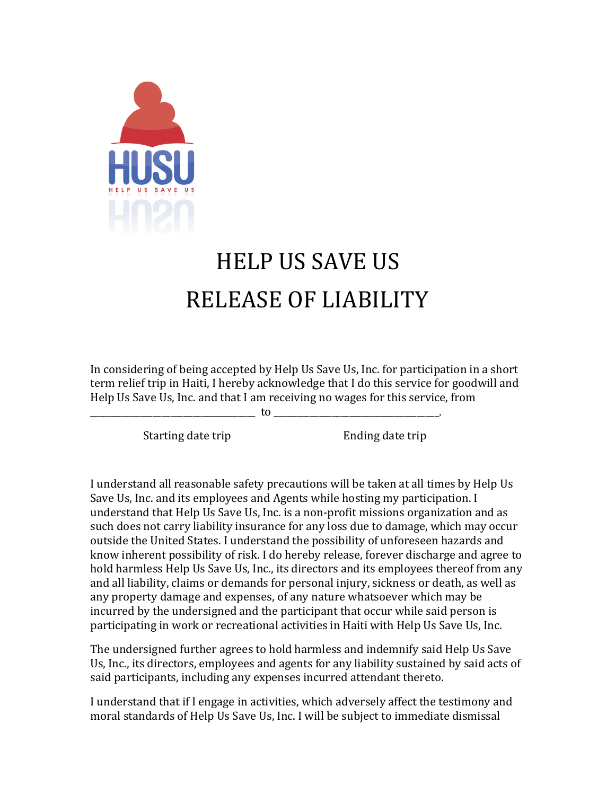

## HELP US SAVE US RELEASE OF LIABILITY

In considering of being accepted by Help Us Save Us, Inc. for participation in a short term relief trip in Haiti, I hereby acknowledge that I do this service for goodwill and Help Us Save Us, Inc. and that I am receiving no wages for this service, from \_\_\_\_\_\_\_\_\_\_\_\_\_\_\_\_\_\_\_\_\_\_\_\_\_\_\_\_\_\_\_\_\_\_\_\_\_ to \_\_\_\_\_\_\_\_\_\_\_\_\_\_\_\_\_\_\_\_\_\_\_\_\_\_\_\_\_\_\_\_\_\_\_\_\_. 

Starting date trip Ending date trip

I understand all reasonable safety precautions will be taken at all times by Help Us Save Us, Inc. and its employees and Agents while hosting my participation. I understand that Help Us Save Us, Inc. is a non-profit missions organization and as such does not carry liability insurance for any loss due to damage, which may occur outside the United States. I understand the possibility of unforeseen hazards and know inherent possibility of risk. I do hereby release, forever discharge and agree to hold harmless Help Us Save Us, Inc., its directors and its employees thereof from any and all liability, claims or demands for personal injury, sickness or death, as well as any property damage and expenses, of any nature whatsoever which may be incurred by the undersigned and the participant that occur while said person is participating in work or recreational activities in Haiti with Help Us Save Us, Inc.

The undersigned further agrees to hold harmless and indemnify said Help Us Save Us, Inc., its directors, employees and agents for any liability sustained by said acts of said participants, including any expenses incurred attendant thereto.

I understand that if I engage in activities, which adversely affect the testimony and moral standards of Help Us Save Us, Inc. I will be subject to immediate dismissal